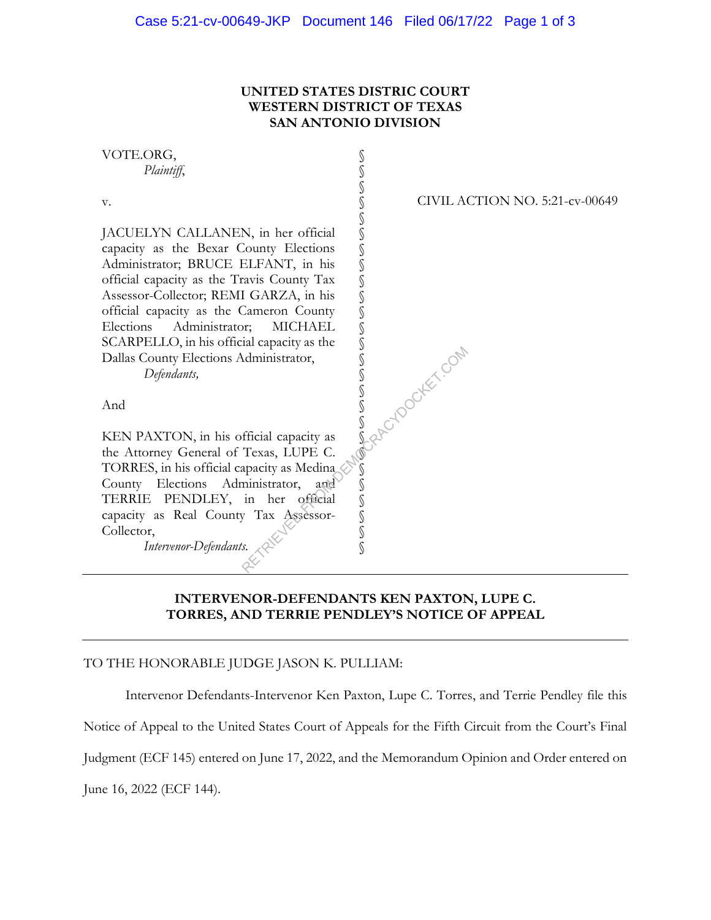## **UNITED STATES DISTRIC COURT WESTERN DISTRICT OF TEXAS SAN ANTONIO DIVISION**



### **INTERVENOR-DEFENDANTS KEN PAXTON, LUPE C. TORRES, AND TERRIE PENDLEY'S NOTICE OF APPEAL**

#### TO THE HONORABLE JUDGE JASON K. PULLIAM:

Intervenor Defendants-Intervenor Ken Paxton, Lupe C. Torres, and Terrie Pendley file this

Notice of Appeal to the United States Court of Appeals for the Fifth Circuit from the Court's Final

Judgment (ECF 145) entered on June 17, 2022, and the Memorandum Opinion and Order entered on

June 16, 2022 (ECF 144).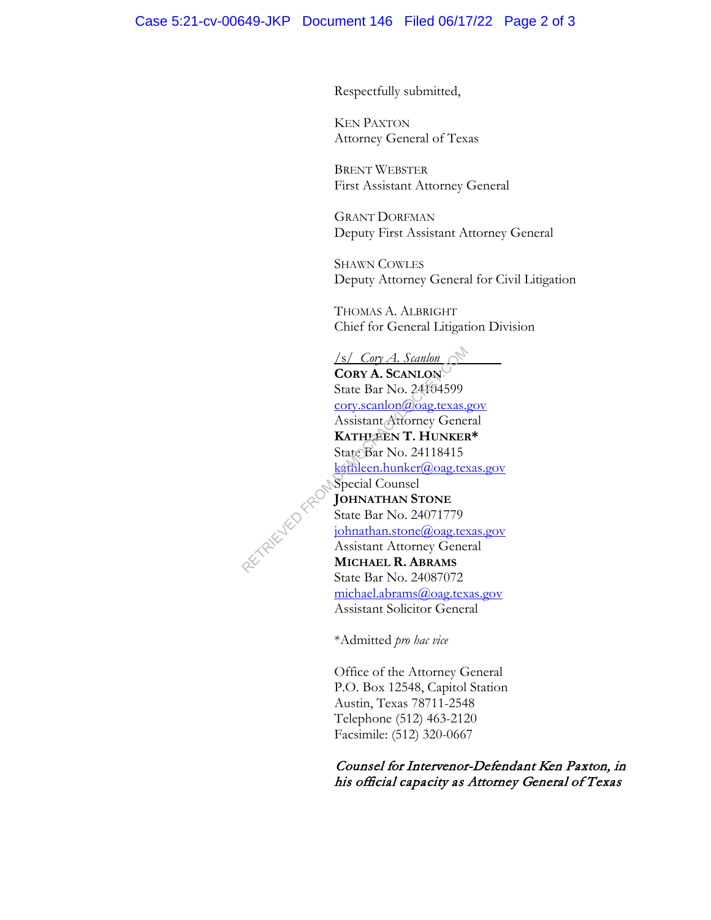Respectfully submitted,

KEN PAXTON Attorney General of Texas

BRENT WEBSTER First Assistant Attorney General

GRANT DORFMAN Deputy First Assistant Attorney General

SHAWN COWLES Deputy Attorney General for Civil Litigation

THOMAS A. ALBRIGHT Chief for General Litigation Division

/s/ *Cory A. Scanlon*  **CORY A. SCANLON** State Bar No. 24104599 cory.scanlon@oag.texas.gov Assistant Attorney General **KATHLEEN T. HUNKER\***  State Bar No. 24118415 kathleen.hunker@oag.texas.gov Special Counsel **JOHNATHAN STONE** State Bar No. 24071779 johnathan.stone@oag.texas.gov Assistant Attorney General **MICHAEL R. ABRAMS** State Bar No. 24087072 michael.abrams@oag.texas.gov Assistant Solicitor General Samlon<br>
CORY A. ScanLON<br>
State Bar No. 24104599<br>
Cory.scanlon@oag.texas.<br>
Assistant Attorney Gene<br>
KATHLEEN T. HUNKEF<br>
State Bar No. 24118415<br>
Special Counsel<br>
Special Counsel<br>
Special Counsel<br>
State Bar No. 24071779<br>
Spec

\*Admitted *pro hac vice*

Office of the Attorney General P.O. Box 12548, Capitol Station Austin, Texas 78711-2548 Telephone (512) 463-2120 Facsimile: (512) 320-0667

Counsel for Intervenor-Defendant Ken Paxton, in his official capacity as Attorney General of Texas